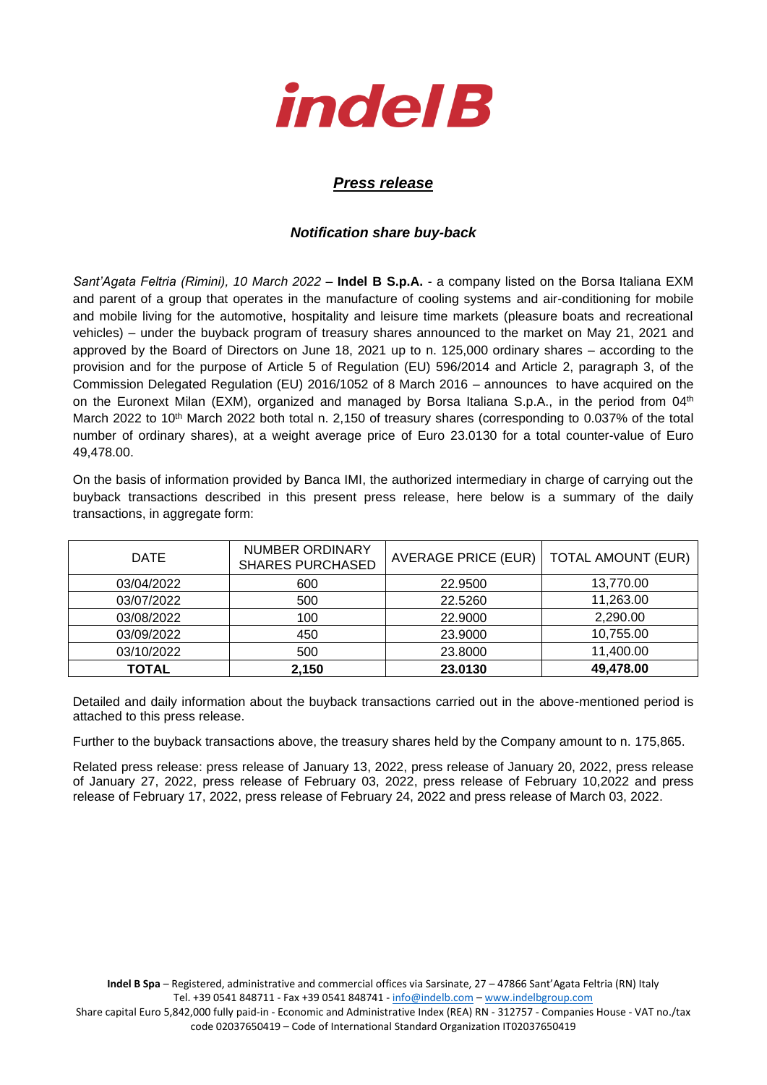

## *Press release*

## *Notification share buy-back*

*Sant'Agata Feltria (Rimini), 10 March 2022* – **Indel B S.p.A.** - a company listed on the Borsa Italiana EXM and parent of a group that operates in the manufacture of cooling systems and air-conditioning for mobile and mobile living for the automotive, hospitality and leisure time markets (pleasure boats and recreational vehicles) – under the buyback program of treasury shares announced to the market on May 21, 2021 and approved by the Board of Directors on June 18, 2021 up to n. 125,000 ordinary shares – according to the provision and for the purpose of Article 5 of Regulation (EU) 596/2014 and Article 2, paragraph 3, of the Commission Delegated Regulation (EU) 2016/1052 of 8 March 2016 – announces to have acquired on the on the Euronext Milan (EXM), organized and managed by Borsa Italiana S.p.A., in the period from 04<sup>th</sup> March 2022 to 10<sup>th</sup> March 2022 both total n. 2,150 of treasury shares (corresponding to 0.037% of the total number of ordinary shares), at a weight average price of Euro 23.0130 for a total counter-value of Euro 49,478.00.

On the basis of information provided by Banca IMI, the authorized intermediary in charge of carrying out the buyback transactions described in this present press release, here below is a summary of the daily transactions, in aggregate form:

| <b>DATE</b>  | NUMBER ORDINARY<br><b>SHARES PURCHASED</b> | <b>AVERAGE PRICE (EUR)</b> | <b>TOTAL AMOUNT (EUR)</b> |
|--------------|--------------------------------------------|----------------------------|---------------------------|
| 03/04/2022   | 600                                        | 22,9500                    | 13,770.00                 |
| 03/07/2022   | 500                                        | 22.5260                    | 11,263.00                 |
| 03/08/2022   | 100                                        | 22.9000                    | 2,290.00                  |
| 03/09/2022   | 450                                        | 23.9000                    | 10,755.00                 |
| 03/10/2022   | 500                                        | 23.8000                    | 11,400.00                 |
| <b>TOTAL</b> | 2,150                                      | 23.0130                    | 49,478.00                 |

Detailed and daily information about the buyback transactions carried out in the above-mentioned period is attached to this press release.

Further to the buyback transactions above, the treasury shares held by the Company amount to n. 175,865.

Related press release: press release of January 13, 2022, press release of January 20, 2022, press release of January 27, 2022, press release of February 03, 2022, press release of February 10,2022 and press release of February 17, 2022, press release of February 24, 2022 and press release of March 03, 2022.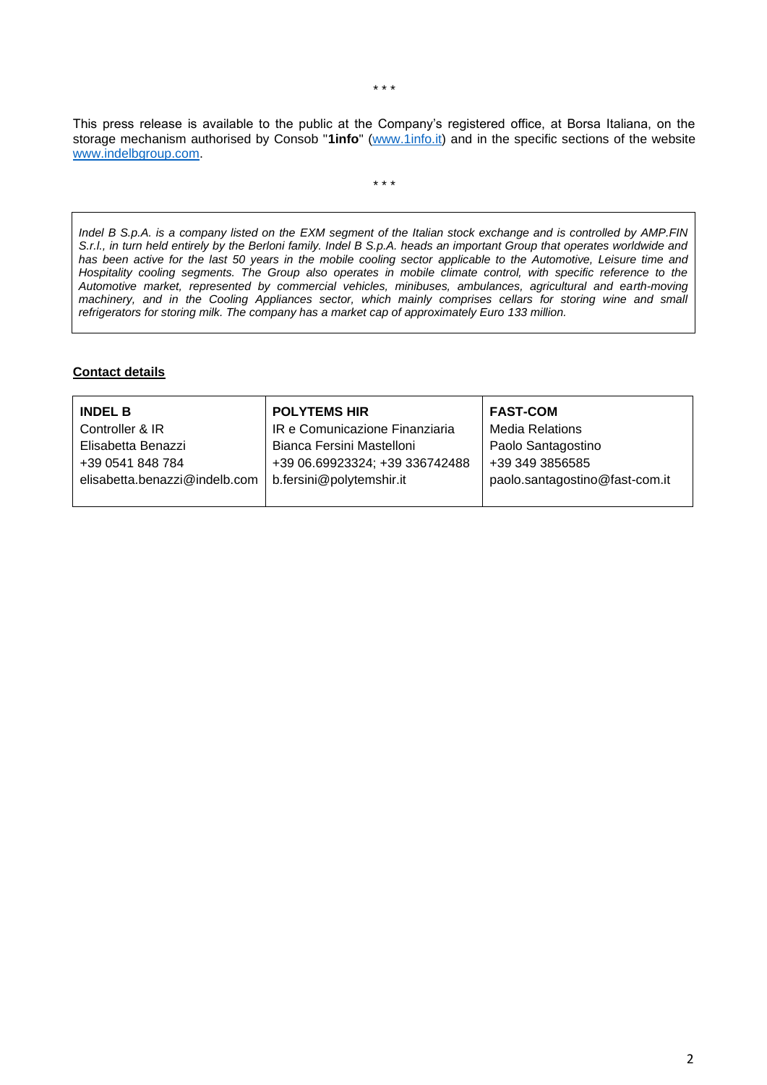This press release is available to the public at the Company's registered office, at Borsa Italiana, on the storage mechanism authorised by Consob "**1info**" [\(www.1info.it\)](file:///C:/Users/ddelietovollaro/AppData/Local/Microsoft/Windows/INetCache/Content.Outlook/T87B94UR/www.1info.it) and in the specific sections of the website [www.indelbgroup.com.](http://www.indelbgroup.com/)

\* \* \*

*Indel B S.p.A. is a company listed on the EXM segment of the Italian stock exchange and is controlled by AMP.FIN S.r.l., in turn held entirely by the Berloni family. Indel B S.p.A. heads an important Group that operates worldwide and has been active for the last 50 years in the mobile cooling sector applicable to the Automotive, Leisure time and Hospitality cooling segments. The Group also operates in mobile climate control, with specific reference to the Automotive market, represented by commercial vehicles, minibuses, ambulances, agricultural and earth-moving*  machinery, and in the Cooling Appliances sector, which mainly comprises cellars for storing wine and small *refrigerators for storing milk. The company has a market cap of approximately Euro 133 million.*

## **Contact details**

| <b>INDEL B</b>                | <b>POLYTEMS HIR</b>            | <b>FAST-COM</b>                |
|-------------------------------|--------------------------------|--------------------------------|
| Controller & IR               | IR e Comunicazione Finanziaria | Media Relations                |
| Elisabetta Benazzi            | Bianca Fersini Mastelloni      | Paolo Santagostino             |
| +39 0541 848 784              | +39 06.69923324; +39 336742488 | +39 349 3856585                |
| elisabetta.benazzi@indelb.com | b.fersini@polytemshir.it       | paolo.santagostino@fast-com.it |
|                               |                                |                                |